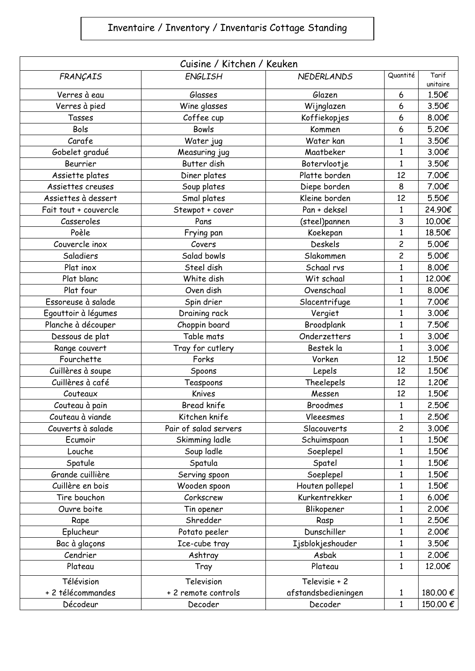## Inventaire / Inventory / Inventaris Cottage Standing

| Cuisine / Kitchen / Keuken |                       |                     |                         |                   |  |  |  |
|----------------------------|-----------------------|---------------------|-------------------------|-------------------|--|--|--|
| FRANÇAIS                   | <b>ENGLISH</b>        | <b>NEDERLANDS</b>   | Quantité                | Tarif<br>unitaire |  |  |  |
| Verres à eau               | Glasses               | Glazen              | 6                       | 1.50€             |  |  |  |
| Verres à pied              | Wine glasses          | Wijnglazen          | 6                       | 3.50€             |  |  |  |
| Tasses                     | Coffee cup            | Koffiekopjes        | 6                       | 8.00€             |  |  |  |
| Bols                       | <b>Bowls</b>          | Kommen              | 6                       | 5.20€             |  |  |  |
| Carafe                     | Water jug             | Water kan           | 1                       | 3.50€             |  |  |  |
| Gobelet gradué             | Measuring jug         | Maatbeker           | 1                       | 3.00€             |  |  |  |
| Beurrier                   | Butter dish           | Botervlootje        | $\mathbf{1}$            | 3.50€             |  |  |  |
| Assiette plates            | Diner plates          | Platte borden       | 12                      | 7.00€             |  |  |  |
| Assiettes creuses          | Soup plates           | Diepe borden        | 8                       | 7.00€             |  |  |  |
| Assiettes à dessert        | Smal plates           | Kleine borden       | 12                      | 5.50€             |  |  |  |
| Fait tout + couvercle      | Stewpot + cover       | Pan + deksel        | 1                       | 24.90€            |  |  |  |
| Casseroles                 | Pans                  | (steel)pannen       | 3                       | 10.00€            |  |  |  |
| Poèle                      | Frying pan            | Koekepan            | 1                       | 18.50€            |  |  |  |
| Couvercle inox             | Covers                | <b>Deskels</b>      | $\overline{\mathbf{c}}$ | 5.00€             |  |  |  |
| Saladiers                  | Salad bowls           | Slakommen           | $\overline{c}$          | 5.00€             |  |  |  |
| Plat inox                  | Steel dish            | Schaal rvs          | 1                       | 8,00€             |  |  |  |
| Plat blanc                 | White dish            | Wit schaal          | $\mathbf{1}$            | 12.00€            |  |  |  |
| Plat four                  | Oven dish             | Ovenschaal          | 1                       | 8.00€             |  |  |  |
| Essoreuse à salade         | Spin drier            | Slacentrifuge       | 1                       | 7.00€             |  |  |  |
| Egouttoir à légumes        | Draining rack         | Vergiet             | $\mathbf{1}$            | 3.00€             |  |  |  |
| Planche à découper         | Choppin board         | Broodplank          | 1                       | 7.50€             |  |  |  |
| Dessous de plat            | Table mats            | Onderzetters        | 1                       | 3.00€             |  |  |  |
| Range couvert              | Tray for cutlery      | Bestek la           | $\mathbf{1}$            | 3.00€             |  |  |  |
| Fourchette                 | Forks                 | Vorken              | 12                      | 1.50€             |  |  |  |
| Cuillères à soupe          | Spoons                | Lepels              | 12                      | 1.50€             |  |  |  |
| Cuillères à café           | Teaspoons             | Theelepels          | 12                      | 1.20€             |  |  |  |
| Couteaux                   | Knives                | Messen              | 12                      | 1.50€             |  |  |  |
| Couteau à pain             | <b>Bread knife</b>    | <b>Broodmes</b>     | $\mathbf{1}$            | 2.50€             |  |  |  |
| Couteau à viande           | Kitchen knife         | Vleeesmes           | 1                       | 2.50€             |  |  |  |
| Couverts à salade          | Pair of salad servers | Slacouverts         | $\overline{c}$          | 3.00€             |  |  |  |
| Ecumoir                    | Skimming ladle        | Schuimspaan         | 1                       | 1.50€             |  |  |  |
| Louche                     | Soup ladle            | Soeplepel           | $\mathbf 1$             | 1.50€             |  |  |  |
| Spatule                    | Spatula               | Spatel              | 1                       | 1.50€             |  |  |  |
| Grande cuillière           | Serving spoon         | Soeplepel           | 1                       | 1.50€             |  |  |  |
| Cuillère en bois           | Wooden spoon          | Houten pollepel     | 1                       | 1.50€             |  |  |  |
| Tire bouchon               | Corkscrew             | Kurkentrekker       | 1                       | 6.00€             |  |  |  |
| Ouvre boite                | Tin opener            | Blikopener          | $\mathbf{1}$            | 2.00€             |  |  |  |
| Rape                       | Shredder              | Rasp                | 1                       | 2.50€             |  |  |  |
| Eplucheur                  | Potato peeler         | Dunschiller         | $\mathbf{1}$            | 2.00€             |  |  |  |
| Bac à glaçons              | Ice-cube tray         | Ijsblokjeshouder    | 1                       | 3.50€             |  |  |  |
| Cendrier                   | Ashtray               | Asbak               | 1                       | 2.00€             |  |  |  |
| Plateau                    | Tray                  | Plateau             | $\mathbf{1}$            | 12.00€            |  |  |  |
| Télévision                 | Television            | Televisie + 2       |                         |                   |  |  |  |
| + 2 télécommandes          | + 2 remote controls   | afstandsbedieningen | 1                       | 180.00 €          |  |  |  |
| Décodeur                   | Decoder               | Decoder             | $\mathbf{1}$            | 150.00€           |  |  |  |